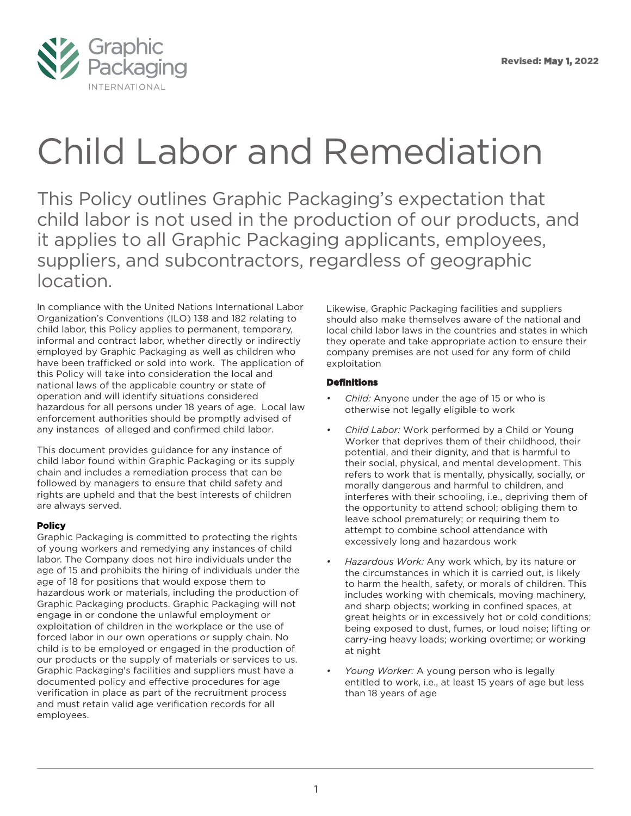

# Child Labor and Remediation

This Policy outlines Graphic Packaging's expectation that child labor is not used in the production of our products, and it applies to all Graphic Packaging applicants, employees, suppliers, and subcontractors, regardless of geographic location.

In compliance with the United Nations International Labor Organization's Conventions (ILO) 138 and 182 relating to child labor, this Policy applies to permanent, temporary, informal and contract labor, whether directly or indirectly employed by Graphic Packaging as well as children who have been trafficked or sold into work. The application of this Policy will take into consideration the local and national laws of the applicable country or state of operation and will identify situations considered hazardous for all persons under 18 years of age. Local law enforcement authorities should be promptly advised of any instances of alleged and confirmed child labor.

This document provides guidance for any instance of child labor found within Graphic Packaging or its supply chain and includes a remediation process that can be followed by managers to ensure that child safety and rights are upheld and that the best interests of children are always served.

### Policy

Graphic Packaging is committed to protecting the rights of young workers and remedying any instances of child labor. The Company does not hire individuals under the age of 15 and prohibits the hiring of individuals under the age of 18 for positions that would expose them to hazardous work or materials, including the production of Graphic Packaging products. Graphic Packaging will not engage in or condone the unlawful employment or exploitation of children in the workplace or the use of forced labor in our own operations or supply chain. No child is to be employed or engaged in the production of our products or the supply of materials or services to us. Graphic Packaging's facilities and suppliers must have a documented policy and effective procedures for age verification in place as part of the recruitment process and must retain valid age verification records for all employees.

Likewise, Graphic Packaging facilities and suppliers should also make themselves aware of the national and local child labor laws in the countries and states in which they operate and take appropriate action to ensure their company premises are not used for any form of child exploitation

#### Definitions

- *Child:* Anyone under the age of 15 or who is otherwise not legally eligible to work
- *Child Labor:* Work performed by a Child or Young Worker that deprives them of their childhood, their potential, and their dignity, and that is harmful to their social, physical, and mental development. This refers to work that is mentally, physically, socially, or morally dangerous and harmful to children, and interferes with their schooling, i.e., depriving them of the opportunity to attend school; obliging them to leave school prematurely; or requiring them to attempt to combine school attendance with excessively long and hazardous work
- *Hazardous Work:* Any work which, by its nature or the circumstances in which it is carried out, is likely to harm the health, safety, or morals of children. This includes working with chemicals, moving machinery, and sharp objects; working in confined spaces, at great heights or in excessively hot or cold conditions; being exposed to dust, fumes, or loud noise; lifting or carry-ing heavy loads; working overtime; or working at night
- *Young Worker:* A young person who is legally entitled to work, i.e., at least 15 years of age but less than 18 years of age